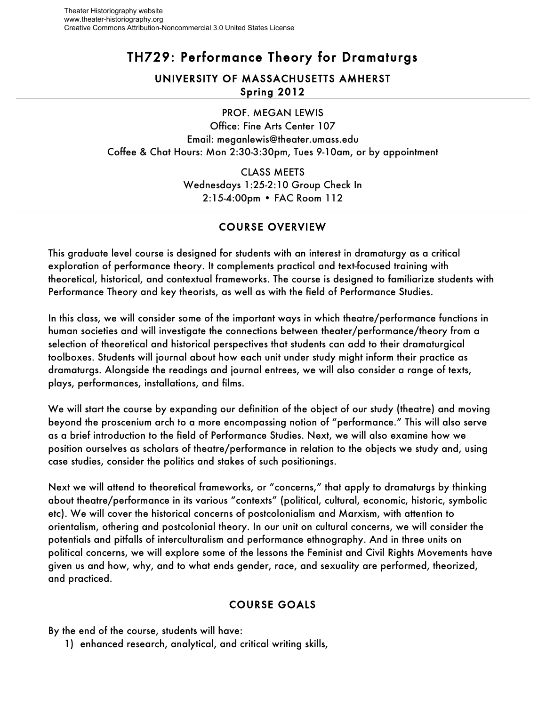# TH729: Performance Theory for Dramaturgs

## UNIVERSITY OF MASSACHUSETTS AMHERST Spring 2012

PROF. MEGAN LEWIS

Office: Fine Arts Center 107 Email: meganlewis@theater.umass.edu Coffee & Chat Hours: Mon 2:30-3:30pm, Tues 9-10am, or by appointment

> CLASS MEETS Wednesdays 1:25-2:10 Group Check In 2:15-4:00pm • FAC Room 112

## COURSE OVERVIEW

This graduate level course is designed for students with an interest in dramaturgy as a critical exploration of performance theory. It complements practical and text-focused training with theoretical, historical, and contextual frameworks. The course is designed to familiarize students with Performance Theory and key theorists, as well as with the field of Performance Studies.

In this class, we will consider some of the important ways in which theatre/performance functions in human societies and will investigate the connections between theater/performance/theory from a selection of theoretical and historical perspectives that students can add to their dramaturgical toolboxes. Students will journal about how each unit under study might inform their practice as dramaturgs. Alongside the readings and journal entrees, we will also consider a range of texts, plays, performances, installations, and films.

We will start the course by expanding our definition of the object of our study (theatre) and moving beyond the proscenium arch to a more encompassing notion of "performance." This will also serve as a brief introduction to the field of Performance Studies. Next, we will also examine how we position ourselves as scholars of theatre/performance in relation to the objects we study and, using case studies, consider the politics and stakes of such positionings.

Next we will attend to theoretical frameworks, or "concerns," that apply to dramaturgs by thinking about theatre/performance in its various "contexts" (political, cultural, economic, historic, symbolic etc). We will cover the historical concerns of postcolonialism and Marxism, with attention to orientalism, othering and postcolonial theory. In our unit on cultural concerns, we will consider the potentials and pitfalls of interculturalism and performance ethnography. And in three units on political concerns, we will explore some of the lessons the Feminist and Civil Rights Movements have given us and how, why, and to what ends gender, race, and sexuality are performed, theorized, and practiced.

## COURSE GOALS

By the end of the course, students will have:

1) enhanced research, analytical, and critical writing skills,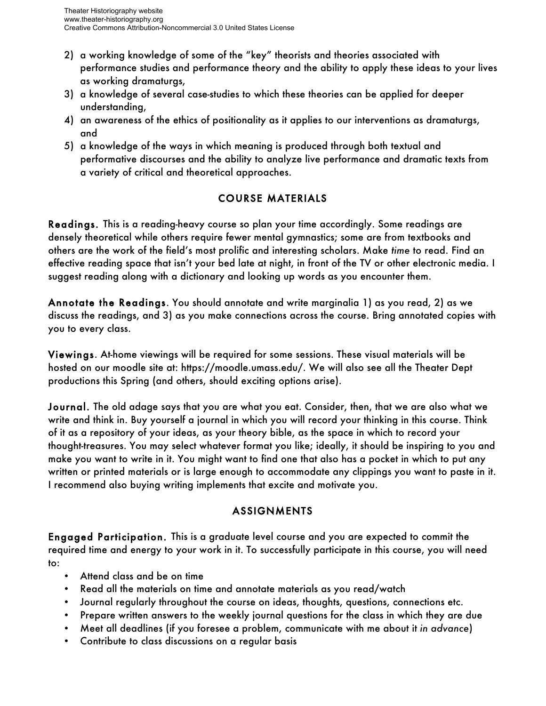- 2) a working knowledge of some of the "key" theorists and theories associated with performance studies and performance theory and the ability to apply these ideas to your lives as working dramaturgs,
- 3) a knowledge of several case-studies to which these theories can be applied for deeper understanding,
- 4) an awareness of the ethics of positionality as it applies to our interventions as dramaturgs, and
- 5) a knowledge of the ways in which meaning is produced through both textual and performative discourses and the ability to analyze live performance and dramatic texts from a variety of critical and theoretical approaches.

## COURSE MATERIALS

Readings. This is a reading-heavy course so plan your time accordingly. Some readings are densely theoretical while others require fewer mental gymnastics; some are from textbooks and others are the work of the field's most prolific and interesting scholars. Make *time* to read. Find an effective reading space that isn't your bed late at night, in front of the TV or other electronic media. I suggest reading along with a dictionary and looking up words as you encounter them.

Annotate the Readings. You should annotate and write marginalia 1) as you read, 2) as we discuss the readings, and 3) as you make connections across the course. Bring annotated copies with you to every class.

Viewings. At-home viewings will be required for some sessions. These visual materials will be hosted on our moodle site at: https://moodle.umass.edu/. We will also see all the Theater Dept productions this Spring (and others, should exciting options arise).

Journal. The old adage says that you are what you eat. Consider, then, that we are also what we write and think in. Buy yourself a journal in which you will record your thinking in this course. Think of it as a repository of your ideas, as your theory bible, as the space in which to record your thought-treasures. You may select whatever format you like; ideally, it should be inspiring to you and make you want to write in it. You might want to find one that also has a pocket in which to put any written or printed materials or is large enough to accommodate any clippings you want to paste in it. I recommend also buying writing implements that excite and motivate you.

## ASSIGNMENTS

Engaged Participation. This is a graduate level course and you are expected to commit the required time and energy to your work in it. To successfully participate in this course, you will need to:

- Attend class and be on time
- Read all the materials on time and annotate materials as you read/watch
- Journal regularly throughout the course on ideas, thoughts, questions, connections etc.
- Prepare written answers to the weekly journal questions for the class in which they are due
- Meet all deadlines (if you foresee a problem, communicate with me about it *in advance*)
- Contribute to class discussions on a regular basis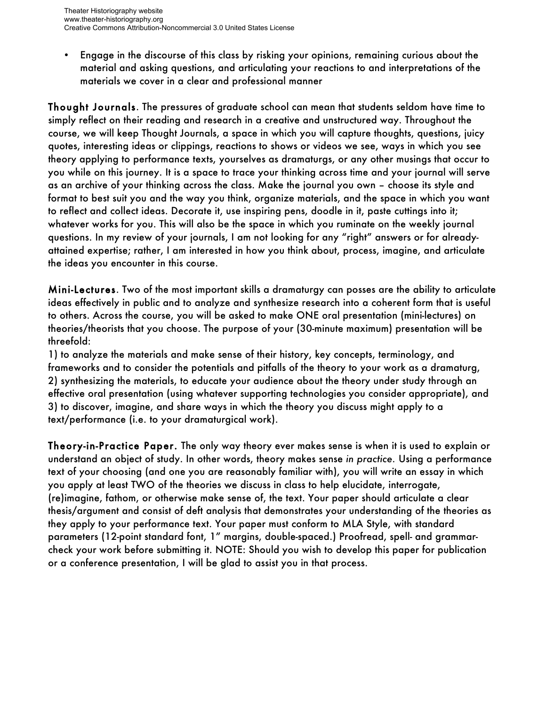• Engage in the discourse of this class by risking your opinions, remaining curious about the material and asking questions, and articulating your reactions to and interpretations of the materials we cover in a clear and professional manner

Thought Journals. The pressures of graduate school can mean that students seldom have time to simply reflect on their reading and research in a creative and unstructured way. Throughout the course, we will keep Thought Journals, a space in which you will capture thoughts, questions, juicy quotes, interesting ideas or clippings, reactions to shows or videos we see, ways in which you see theory applying to performance texts, yourselves as dramaturgs, or any other musings that occur to you while on this journey. It is a space to trace your thinking across time and your journal will serve as an archive of your thinking across the class. Make the journal you own – choose its style and format to best suit you and the way you think, organize materials, and the space in which you want to reflect and collect ideas. Decorate it, use inspiring pens, doodle in it, paste cuttings into it; whatever works for you. This will also be the space in which you ruminate on the weekly journal questions. In my review of your journals, I am not looking for any "right" answers or for alreadyattained expertise; rather, I am interested in how you think about, process, imagine, and articulate the ideas you encounter in this course.

Mini-Lectures. Two of the most important skills a dramaturgy can posses are the ability to articulate ideas effectively in public and to analyze and synthesize research into a coherent form that is useful to others. Across the course, you will be asked to make ONE oral presentation (mini-lectures) on theories/theorists that you choose. The purpose of your (30-minute maximum) presentation will be threefold:

1) to analyze the materials and make sense of their history, key concepts, terminology, and frameworks and to consider the potentials and pitfalls of the theory to your work as a dramaturg, 2) synthesizing the materials, to educate your audience about the theory under study through an effective oral presentation (using whatever supporting technologies you consider appropriate), and 3) to discover, imagine, and share ways in which the theory you discuss might apply to a text/performance (i.e. to your dramaturgical work).

Theory-in-Practice Paper. The only way theory ever makes sense is when it is used to explain or understand an object of study. In other words, theory makes sense *in practice.* Using a performance text of your choosing (and one you are reasonably familiar with), you will write an essay in which you apply at least TWO of the theories we discuss in class to help elucidate, interrogate, (re)imagine, fathom, or otherwise make sense of, the text. Your paper should articulate a clear thesis/argument and consist of deft analysis that demonstrates your understanding of the theories as they apply to your performance text. Your paper must conform to MLA Style, with standard parameters (12-point standard font, 1" margins, double-spaced.) Proofread, spell- and grammarcheck your work before submitting it. NOTE: Should you wish to develop this paper for publication or a conference presentation, I will be glad to assist you in that process.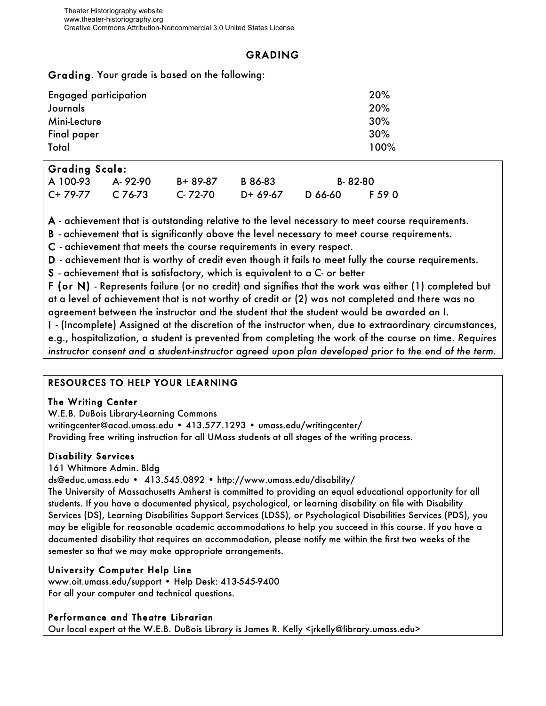## GRADING

### Grading. Your grade is based on the following:

| <b>Engaged participation</b> | 20%  |
|------------------------------|------|
| Journals                     | 20%  |
| Mini-Lecture                 | 30%  |
| Final paper                  | 30%  |
| Total                        | 100% |

### Grading Scale:

| A 100-93 A-92-90 |         | B+ 89-87      | B 86-83  |         | B-82-80 |
|------------------|---------|---------------|----------|---------|---------|
| C+ 79-77         | C 76-73 | $C - 72 - 70$ | D+ 69-67 | D 66-60 | F 59 0  |

A - achievement that is outstanding relative to the level necessary to meet course requirements.

B - achievement that is significantly above the level necessary to meet course requirements.

C - achievement that meets the course requirements in every respect.

D - achievement that is worthy of credit even though it fails to meet fully the course requirements.

S - achievement that is satisfactory, which is equivalent to a C- or better

F (or N) - Represents failure (or no credit) and signifies that the work was either (1) completed but at a level of achievement that is not worthy of credit or (2) was not completed and there was no agreement between the instructor and the student that the student would be awarded an I.

I - (Incomplete) Assigned at the discretion of the instructor when, due to extraordinary circumstances, e.g., hospitalization, a student is prevented from completing the work of the course on time. *Requires instructor consent and a student-instructor agreed upon plan developed prior to the end of the term.*

## RESOURCES TO HELP YOUR LEARNING

### The Writing Center

W.E.B. DuBois Library-Learning Commons writingcenter@acad.umass.edu • 413.577.1293 • umass.edu/writingcenter/ Providing free writing instruction for all UMass students at all stages of the writing process.

### Disability Services

161 Whitmore Admin. Bldg

ds@educ.umass.edu • 413.545.0892 • http://www.umass.edu/disability/

The University of Massachusetts Amherst is committed to providing an equal educational opportunity for all students. If you have a documented physical, psychological, or learning disability on file with Disability Services (DS), Learning Disabilities Support Services (LDSS), or Psychological Disabilities Services (PDS), you may be eligible for reasonable academic accommodations to help you succeed in this course. If you have a documented disability that requires an accommodation, please notify me within the first two weeks of the semester so that we may make appropriate arrangements.

## University Computer Help Line

www.oit.umass.edu/support • Help Desk: 413-545-9400 For all your computer and technical questions.

### Performance and Theatre Librarian

Our local expert at the W.E.B. DuBois Library is James R. Kelly <jrkelly@library.umass.edu>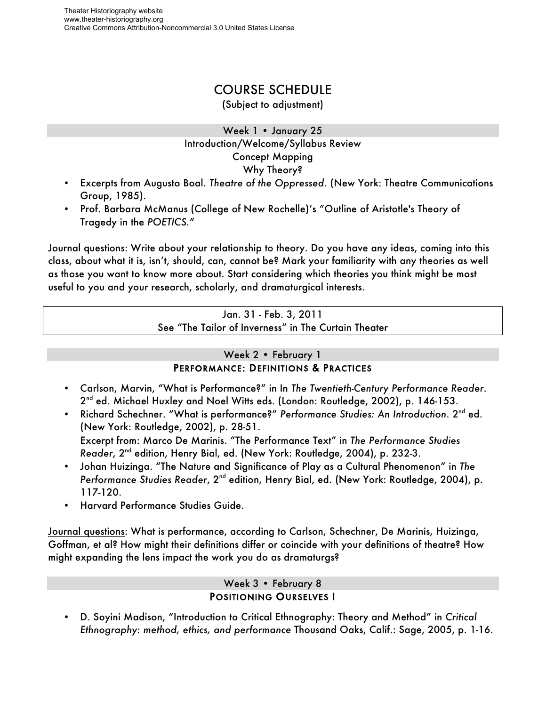## COURSE SCHEDULE

(Subject to adjustment)

### Week 1 • January 25 Introduction/Welcome/Syllabus Review Concept Mapping Why Theory?

- Excerpts from Augusto Boal. *Theatre of the Oppressed.* (New York: Theatre Communications Group, 1985).
- Prof. Barbara McManus (College of New Rochelle)'s "Outline of Aristotle's Theory of Tragedy in the *POETICS.*"

Journal questions: Write about your relationship to theory. Do you have any ideas, coming into this class, about what it is, isn't, should, can, cannot be? Mark your familiarity with any theories as well as those you want to know more about. Start considering which theories you think might be most useful to you and your research, scholarly, and dramaturgical interests.

> Jan. 31 - Feb. 3, 2011 See "The Tailor of Inverness" in The Curtain Theater

## Week 2 • February 1 PERFORMANCE: DEFINITIONS & PRACTICES

- Carlson, Marvin, "What is Performance?" in In *The Twentieth-Century Performance Reader*. 2<sup>nd</sup> ed. Michael Huxley and Noel Witts eds. (London: Routledge, 2002), p. 146-153.
- Richard Schechner. "What is performance?" *Performance Studies: An Introduction*. 2nd ed. (New York: Routledge, 2002), p. 28-51. Excerpt from: Marco De Marinis. "The Performance Text" in *The Performance Studies Reader*, 2nd edition, Henry Bial, ed. (New York: Routledge, 2004), p. 232-3.
- Johan Huizinga. "The Nature and Significance of Play as a Cultural Phenomenon" in *The Performance Studies Reader*, 2<sup>nd</sup> edition, Henry Bial, ed. (New York: Routledge, 2004), p. 117-120.
- Harvard Performance Studies Guide.

Journal questions: What is performance, according to Carlson, Schechner, De Marinis, Huizinga, Goffman, et al? How might their definitions differ or coincide with your definitions of theatre? How might expanding the lens impact the work you do as dramaturgs?

### Week 3 • February 8 POSITIONING OURSELVES I

• D. Soyini Madison, "Introduction to Critical Ethnography: Theory and Method" in *Critical Ethnography: method, ethics, and performance* Thousand Oaks, Calif.: Sage, 2005, p. 1-16.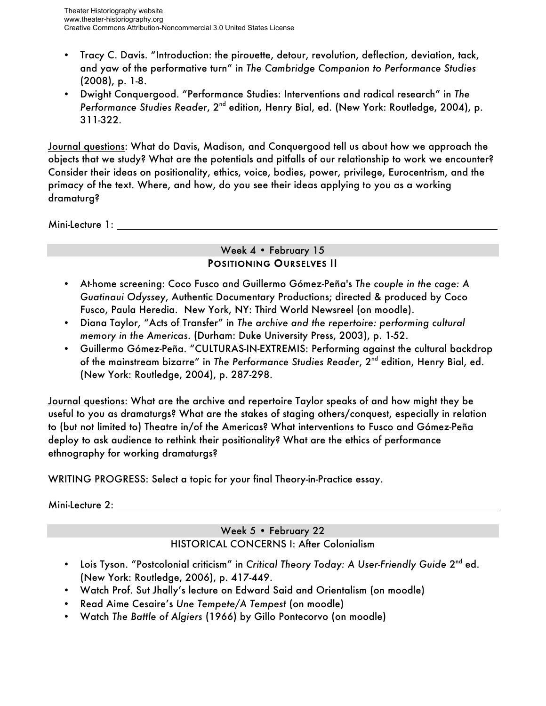- Tracy C. Davis. "Introduction: the pirouette, detour, revolution, deflection, deviation, tack, and yaw of the performative turn" in *The Cambridge Companion to Performance Studies* (2008), p. 1-8.
- Dwight Conquergood. "Performance Studies: Interventions and radical research" in *The Performance Studies Reader*, 2<sup>nd</sup> edition, Henry Bial, ed. (New York: Routledge, 2004), p. 311-322.

Journal questions: What do Davis, Madison, and Conquergood tell us about how we approach the objects that we study? What are the potentials and pitfalls of our relationship to work we encounter? Consider their ideas on positionality, ethics, voice, bodies, power, privilege, Eurocentrism, and the primacy of the text. Where, and how, do you see their ideas applying to you as a working dramaturg?

Mini-Lecture 1:

### Week 4 · February 15 POSITIONING OURSELVES II

- At-home screening: Coco Fusco and Guillermo Gómez-Peña's *The couple in the cage: A Guatinaui Odyssey*, Authentic Documentary Productions; directed & produced by Coco Fusco, Paula Heredia. New York, NY: Third World Newsreel (on moodle).
- Diana Taylor, "Acts of Transfer" in *The archive and the repertoire: performing cultural memory in the Americas*. (Durham: Duke University Press, 2003), p. 1-52.
- Guillermo Gómez-Peña. "CULTURAS-IN-EXTREMIS: Performing against the cultural backdrop of the mainstream bizarre" in *The Performance Studies Reader*, 2nd edition, Henry Bial, ed. (New York: Routledge, 2004), p. 287-298.

Journal questions: What are the archive and repertoire Taylor speaks of and how might they be useful to you as dramaturgs? What are the stakes of staging others/conquest, especially in relation to (but not limited to) Theatre in/of the Americas? What interventions to Fusco and Gómez-Peña deploy to ask audience to rethink their positionality? What are the ethics of performance ethnography for working dramaturgs?

WRITING PROGRESS: Select a topic for your final Theory-in-Practice essay.

Mini-Lecture 2:

## Week 5 • February 22 HISTORICAL CONCERNS I: After Colonialism

- Lois Tyson. "Postcolonial criticism" in Critical Theory Today: A User-Friendly Guide 2<sup>nd</sup> ed. (New York: Routledge, 2006), p. 417-449.
- Watch Prof. Sut Jhally's lecture on Edward Said and Orientalism (on moodle)
- Read Aime Cesaire's *Une Tempete/A Tempest* (on moodle)
- Watch *The Battle of Algiers* (1966) by Gillo Pontecorvo (on moodle)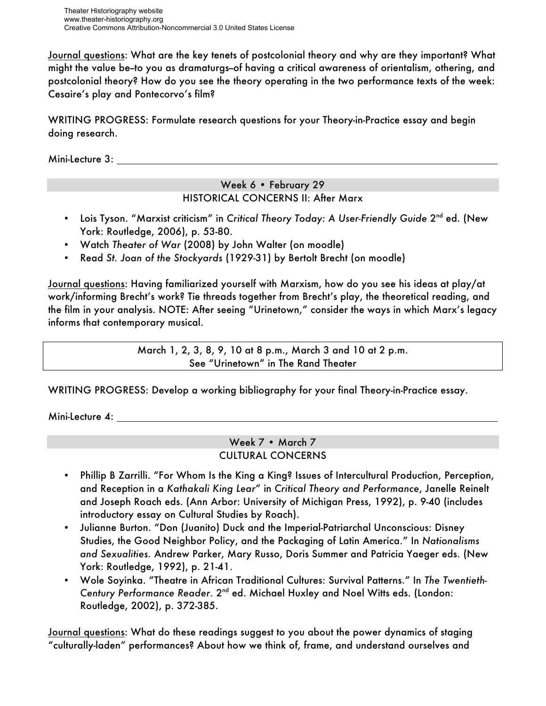Theater Historiography website www.theater-historiography.org Creative Commons Attribution-Noncommercial 3.0 United States License

Journal questions: What are the key tenets of postcolonial theory and why are they important? What might the value be--to you as dramaturgs--of having a critical awareness of orientalism, othering, and postcolonial theory? How do you see the theory operating in the two performance texts of the week: Cesaire's play and Pontecorvo's film?

WRITING PROGRESS: Formulate research questions for your Theory-in-Practice essay and begin doing research.

Mini-Lecture 3:

### Week 6 · February 29 HISTORICAL CONCERNS II: After Marx

- Lois Tyson. "Marxist criticism" in Critical Theory Today: A User-Friendly Guide 2<sup>nd</sup> ed. (New York: Routledge, 2006), p. 53-80.
- Watch *Theater of War* (2008) by John Walter (on moodle)
- Read *St. Joan of the Stockyards* (1929-31) by Bertolt Brecht (on moodle)

Journal questions: Having familiarized yourself with Marxism, how do you see his ideas at play/at work/informing Brecht's work? Tie threads together from Brecht's play, the theoretical reading, and the film in your analysis. NOTE: After seeing "Urinetown," consider the ways in which Marx's legacy informs that contemporary musical.

> March 1, 2, 3, 8, 9, 10 at 8 p.m., March 3 and 10 at 2 p.m. See "Urinetown" in The Rand Theater

WRITING PROGRESS: Develop a working bibliography for your final Theory-in-Practice essay.

Mini-Lecture 4:

Week 7 • March 7 CULTURAL CONCERNS

- Phillip B Zarrilli. "For Whom Is the King a King? Issues of Intercultural Production, Perception, and Reception in a *Kathakali King Lear*" in *Critical Theory and Performance*, Janelle Reinelt and Joseph Roach eds. (Ann Arbor: University of Michigan Press, 1992), p. 9-40 (includes introductory essay on Cultural Studies by Roach).
- Julianne Burton. "Don (Juanito) Duck and the Imperial-Patriarchal Unconscious: Disney Studies, the Good Neighbor Policy, and the Packaging of Latin America." In *Nationalisms and Sexualities.* Andrew Parker, Mary Russo, Doris Summer and Patricia Yaeger eds. (New York: Routledge, 1992), p. 21-41.
- Wole Soyinka. "Theatre in African Traditional Cultures: Survival Patterns." In *The Twentieth-Century Performance Reader*. 2nd ed. Michael Huxley and Noel Witts eds. (London: Routledge, 2002), p. 372-385.

Journal questions: What do these readings suggest to you about the power dynamics of staging "culturally-laden" performances? About how we think of, frame, and understand ourselves and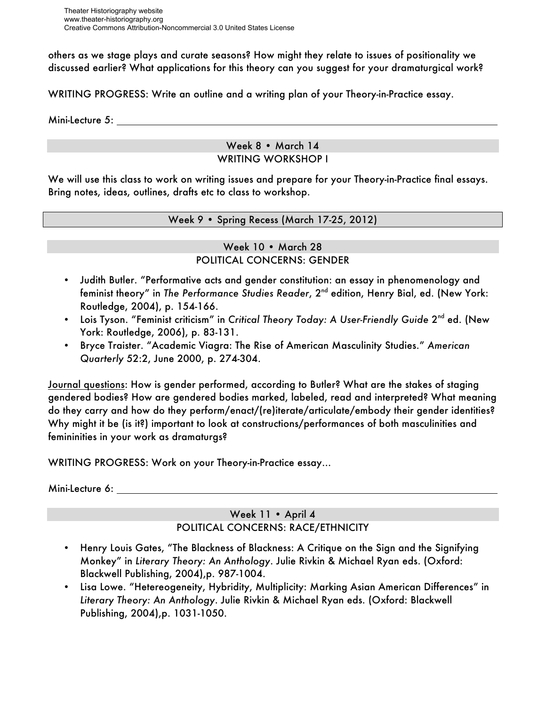others as we stage plays and curate seasons? How might they relate to issues of positionality we discussed earlier? What applications for this theory can you suggest for your dramaturgical work?

WRITING PROGRESS: Write an outline and a writing plan of your Theory-in-Practice essay.

Mini-Lecture 5:

#### Week 8 • March 14 WRITING WORKSHOP I

We will use this class to work on writing issues and prepare for your Theory-in-Practice final essays. Bring notes, ideas, outlines, drafts etc to class to workshop.

Week 9 • Spring Recess (March 17-25, 2012)

### Week 10 • March 28 POLITICAL CONCERNS: GENDER

- Judith Butler. "Performative acts and gender constitution: an essay in phenomenology and feminist theory" in *The Performance Studies Reader*, 2<sup>nd</sup> edition, Henry Bial, ed. (New York: Routledge, 2004), p. 154-166.
- Lois Tyson. "Feminist criticism" in *Critical Theory Today: A User-Friendly Guide* 2<sup>nd</sup> ed. (New York: Routledge, 2006), p. 83-131.
- Bryce Traister. "Academic Viagra: The Rise of American Masculinity Studies." *American Quarterly* 52:2, June 2000, p. 274-304.

Journal questions: How is gender performed, according to Butler? What are the stakes of staging gendered bodies? How are gendered bodies marked, labeled, read and interpreted? What meaning do they carry and how do they perform/enact/(re)iterate/articulate/embody their gender identities? Why might it be (is it?) important to look at constructions/performances of both masculinities and femininities in your work as dramaturgs?

WRITING PROGRESS: Work on your Theory-in-Practice essay…

Mini-Lecture 6:

### Week 11 • April 4 POLITICAL CONCERNS: RACE/ETHNICITY

- Henry Louis Gates, "The Blackness of Blackness: A Critique on the Sign and the Signifying Monkey" in *Literary Theory: An Anthology*. Julie Rivkin & Michael Ryan eds. (Oxford: Blackwell Publishing, 2004),p. 987-1004.
- Lisa Lowe. "Hetereogeneity, Hybridity, Multiplicity: Marking Asian American Differences" in *Literary Theory: An Anthology*. Julie Rivkin & Michael Ryan eds. (Oxford: Blackwell Publishing, 2004),p. 1031-1050.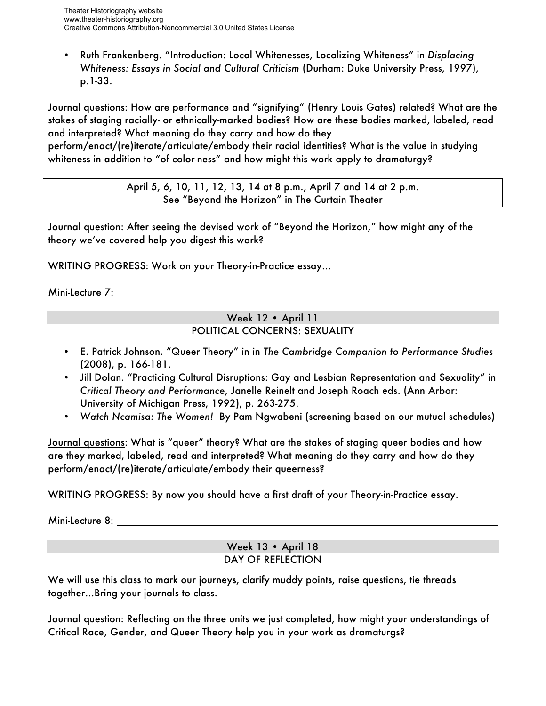• Ruth Frankenberg. "Introduction: Local Whitenesses, Localizing Whiteness" in *Displacing Whiteness: Essays in Social and Cultural Criticism* (Durham: Duke University Press, 1997), p.1-33.

Journal questions: How are performance and "signifying" (Henry Louis Gates) related? What are the stakes of staging racially- or ethnically-marked bodies? How are these bodies marked, labeled, read and interpreted? What meaning do they carry and how do they

perform/enact/(re)iterate/articulate/embody their racial identities? What is the value in studying whiteness in addition to "of color-ness" and how might this work apply to dramaturgy?

> April 5, 6, 10, 11, 12, 13, 14 at 8 p.m., April 7 and 14 at 2 p.m. See "Beyond the Horizon" in The Curtain Theater

Journal question: After seeing the devised work of "Beyond the Horizon," how might any of the theory we've covered help you digest this work?

WRITING PROGRESS: Work on your Theory-in-Practice essay…

Mini-Lecture 7:

### Week 12 • April 11 POLITICAL CONCERNS: SEXUALITY

- E. Patrick Johnson. "Queer Theory" in in *The Cambridge Companion to Performance Studies* (2008), p. 166-181.
- Jill Dolan. "Practicing Cultural Disruptions: Gay and Lesbian Representation and Sexuality" in *Critical Theory and Performance*, Janelle Reinelt and Joseph Roach eds. (Ann Arbor: University of Michigan Press, 1992), p. 263-275.
- *Watch Ncamisa: The Women!* By Pam Ngwabeni (screening based on our mutual schedules)

Journal questions: What is "queer" theory? What are the stakes of staging queer bodies and how are they marked, labeled, read and interpreted? What meaning do they carry and how do they perform/enact/(re)iterate/articulate/embody their queerness?

WRITING PROGRESS: By now you should have a first draft of your Theory-in-Practice essay.

Mini-Lecture 8:

### Week 13 • April 18 DAY OF REFLECTION

We will use this class to mark our journeys, clarify muddy points, raise questions, tie threads together…Bring your journals to class.

Journal question: Reflecting on the three units we just completed, how might your understandings of Critical Race, Gender, and Queer Theory help you in your work as dramaturgs?